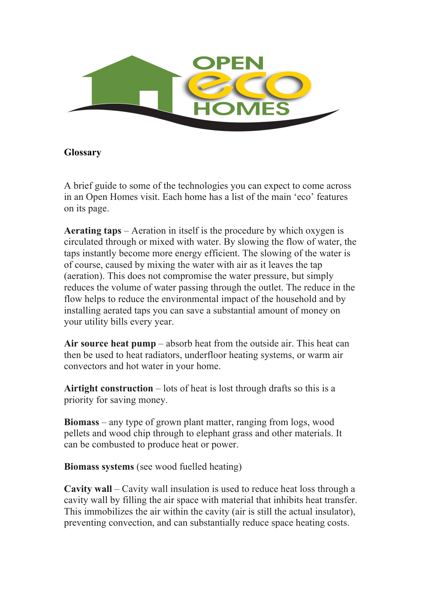

## **Glossary**

A brief guide to some of the technologies you can expect to come across in an Open Homes visit. Each home has a list of the main 'eco' features on its page.

**Aerating taps** – Aeration in itself is the procedure by which oxygen is circulated through or mixed with water. By slowing the flow of water, the taps instantly become more energy efficient. The slowing of the water is of course, caused by mixing the water with air as it leaves the tap (aeration). This does not compromise the water pressure, but simply reduces the volume of water passing through the outlet. The reduce in the flow helps to reduce the environmental impact of the household and by installing aerated taps you can save a substantial amount of money on your utility bills every year.

**Air source heat pump** – absorb heat from the outside air. This heat can then be used to heat radiators, underfloor heating systems, or warm air convectors and hot water in your home.

**Airtight construction** – lots of heat is lost through drafts so this is a priority for saving money.

**Biomass** – any type of grown plant matter, ranging from logs, wood pellets and wood chip through to elephant grass and other materials. It can be combusted to produce heat or power.

**Biomass systems** (see wood fuelled heating)

**Cavity wall** – Cavity wall insulation is used to reduce heat loss through a cavity wall by filling the air space with material that inhibits heat transfer. This immobilizes the air within the cavity (air is still the actual insulator), preventing convection, and can substantially reduce space heating costs.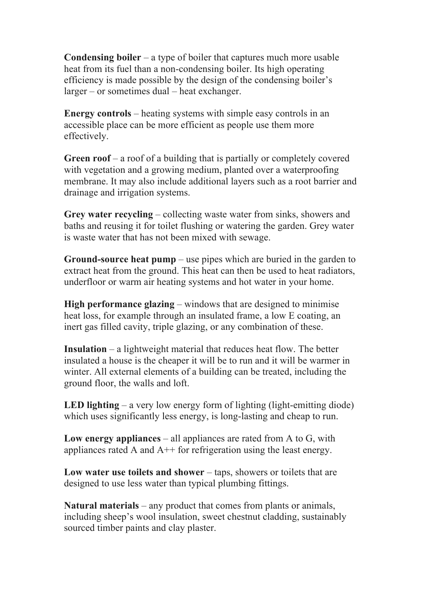**Condensing boiler** – a type of boiler that captures much more usable heat from its fuel than a non-condensing boiler. Its high operating efficiency is made possible by the design of the condensing boiler's larger – or sometimes dual – heat exchanger.

**Energy controls** – heating systems with simple easy controls in an accessible place can be more efficient as people use them more effectively.

**Green roof** – a roof of a building that is partially or completely covered with vegetation and a growing medium, planted over a waterproofing membrane. It may also include additional layers such as a root barrier and drainage and irrigation systems.

**Grey water recycling** – collecting waste water from sinks, showers and baths and reusing it for toilet flushing or watering the garden. Grey water is waste water that has not been mixed with sewage.

**Ground-source heat pump** – use pipes which are buried in the garden to extract heat from the ground. This heat can then be used to heat radiators, underfloor or warm air heating systems and hot water in your home.

**High performance glazing** – windows that are designed to minimise heat loss, for example through an insulated frame, a low E coating, an inert gas filled cavity, triple glazing, or any combination of these.

**Insulation** – a lightweight material that reduces heat flow. The better insulated a house is the cheaper it will be to run and it will be warmer in winter. All external elements of a building can be treated, including the ground floor, the walls and loft.

**LED lighting** – a very low energy form of lighting (light-emitting diode) which uses significantly less energy, is long-lasting and cheap to run.

**Low energy appliances** – all appliances are rated from A to G, with appliances rated A and A++ for refrigeration using the least energy.

**Low water use toilets and shower** – taps, showers or toilets that are designed to use less water than typical plumbing fittings.

**Natural materials** – any product that comes from plants or animals, including sheep's wool insulation, sweet chestnut cladding, sustainably sourced timber paints and clay plaster.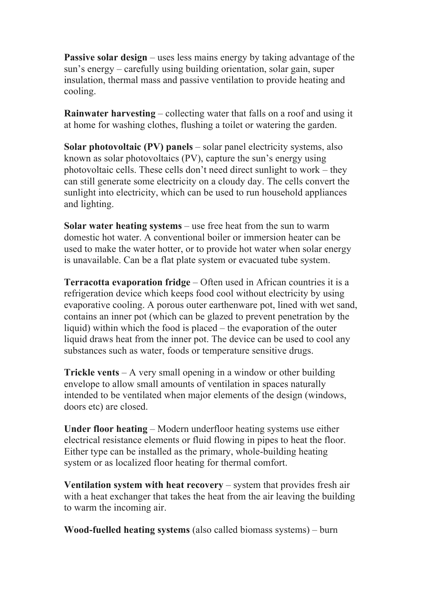**Passive solar design** – uses less mains energy by taking advantage of the sun's energy – carefully using building orientation, solar gain, super insulation, thermal mass and passive ventilation to provide heating and cooling.

**Rainwater harvesting** – collecting water that falls on a roof and using it at home for washing clothes, flushing a toilet or watering the garden.

**Solar photovoltaic (PV) panels** – solar panel electricity systems, also known as solar photovoltaics (PV), capture the sun's energy using photovoltaic cells. These cells don't need direct sunlight to work – they can still generate some electricity on a cloudy day. The cells convert the sunlight into electricity, which can be used to run household appliances and lighting.

**Solar water heating systems** – use free heat from the sun to warm domestic hot water. A conventional boiler or immersion heater can be used to make the water hotter, or to provide hot water when solar energy is unavailable. Can be a flat plate system or evacuated tube system.

**Terracotta evaporation fridge** – Often used in African countries it is a refrigeration device which keeps food cool without electricity by using evaporative cooling. A porous outer earthenware pot, lined with wet sand, contains an inner pot (which can be glazed to prevent penetration by the liquid) within which the food is placed – the evaporation of the outer liquid draws heat from the inner pot. The device can be used to cool any substances such as water, foods or temperature sensitive drugs.

**Trickle vents** – A very small opening in a window or other building envelope to allow small amounts of ventilation in spaces naturally intended to be ventilated when major elements of the design (windows, doors etc) are closed.

**Under floor heating** – Modern underfloor heating systems use either electrical resistance elements or fluid flowing in pipes to heat the floor. Either type can be installed as the primary, whole-building heating system or as localized floor heating for thermal comfort.

**Ventilation system with heat recovery** – system that provides fresh air with a heat exchanger that takes the heat from the air leaving the building to warm the incoming air.

**Wood-fuelled heating systems** (also called biomass systems) – burn